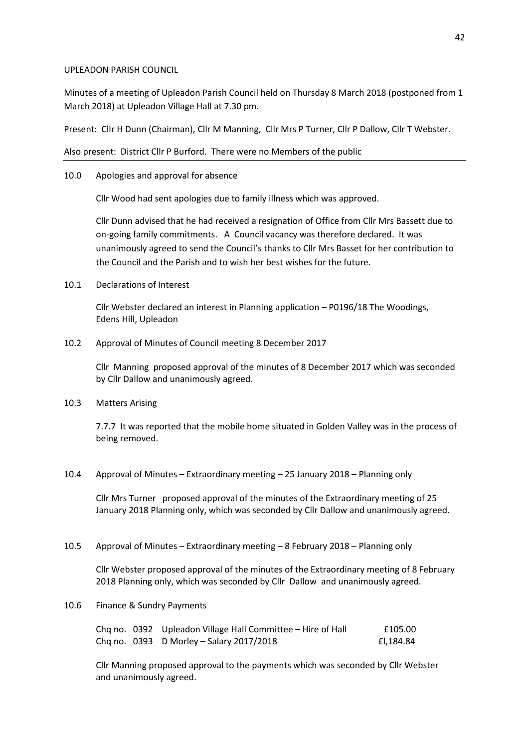## UPLEADON PARISH COUNCIL

Minutes of a meeting of Upleadon Parish Council held on Thursday 8 March 2018 (postponed from 1 March 2018) at Upleadon Village Hall at 7.30 pm.

Present: Cllr H Dunn (Chairman), Cllr M Manning, Cllr Mrs P Turner, Cllr P Dallow, Cllr T Webster.

Also present: District Cllr P Burford. There were no Members of the public

10.0 Apologies and approval for absence

Cllr Wood had sent apologies due to family illness which was approved.

Cllr Dunn advised that he had received a resignation of Office from Cllr Mrs Bassett due to on-going family commitments. A Council vacancy was therefore declared. It was unanimously agreed to send the Council's thanks to Cllr Mrs Basset for her contribution to the Council and the Parish and to wish her best wishes for the future.

10.1 Declarations of Interest

Cllr Webster declared an interest in Planning application – P0196/18 The Woodings, Edens Hill, Upleadon

10.2 Approval of Minutes of Council meeting 8 December 2017

Cllr Manning proposed approval of the minutes of 8 December 2017 which was seconded by Cllr Dallow and unanimously agreed.

10.3 Matters Arising

7.7.7 It was reported that the mobile home situated in Golden Valley was in the process of being removed.

10.4 Approval of Minutes – Extraordinary meeting – 25 January 2018 – Planning only

Cllr Mrs Turner proposed approval of the minutes of the Extraordinary meeting of 25 January 2018 Planning only, which was seconded by Cllr Dallow and unanimously agreed.

10.5 Approval of Minutes – Extraordinary meeting – 8 February 2018 – Planning only

Cllr Webster proposed approval of the minutes of the Extraordinary meeting of 8 February 2018 Planning only, which was seconded by Cllr Dallow and unanimously agreed.

10.6 Finance & Sundry Payments

|  | Chq no. 0392 Upleadon Village Hall Committee – Hire of Hall | £105.00   |
|--|-------------------------------------------------------------|-----------|
|  | Chq no. 0393 D Morley - Salary 2017/2018                    | £1.184.84 |

Cllr Manning proposed approval to the payments which was seconded by Cllr Webster and unanimously agreed.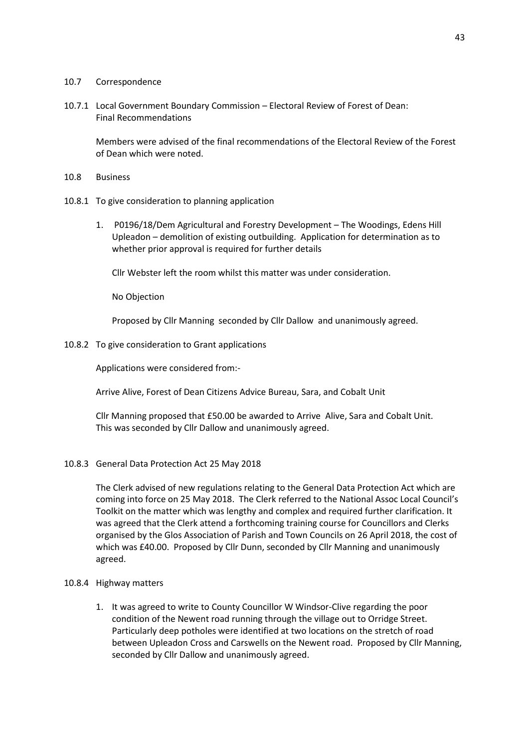# 10.7 Correspondence

10.7.1 Local Government Boundary Commission – Electoral Review of Forest of Dean: Final Recommendations

Members were advised of the final recommendations of the Electoral Review of the Forest of Dean which were noted.

- 10.8 Business
- 10.8.1 To give consideration to planning application
	- 1. P0196/18/Dem Agricultural and Forestry Development The Woodings, Edens Hill Upleadon – demolition of existing outbuilding. Application for determination as to whether prior approval is required for further details

Cllr Webster left the room whilst this matter was under consideration.

No Objection

Proposed by Cllr Manning seconded by Cllr Dallow and unanimously agreed.

10.8.2 To give consideration to Grant applications

Applications were considered from:-

Arrive Alive, Forest of Dean Citizens Advice Bureau, Sara, and Cobalt Unit

Cllr Manning proposed that £50.00 be awarded to Arrive Alive, Sara and Cobalt Unit. This was seconded by Cllr Dallow and unanimously agreed.

10.8.3 General Data Protection Act 25 May 2018

The Clerk advised of new regulations relating to the General Data Protection Act which are coming into force on 25 May 2018. The Clerk referred to the National Assoc Local Council's Toolkit on the matter which was lengthy and complex and required further clarification. It was agreed that the Clerk attend a forthcoming training course for Councillors and Clerks organised by the Glos Association of Parish and Town Councils on 26 April 2018, the cost of which was £40.00. Proposed by Cllr Dunn, seconded by Cllr Manning and unanimously agreed.

## 10.8.4 Highway matters

1. It was agreed to write to County Councillor W Windsor-Clive regarding the poor condition of the Newent road running through the village out to Orridge Street. Particularly deep potholes were identified at two locations on the stretch of road between Upleadon Cross and Carswells on the Newent road. Proposed by Cllr Manning, seconded by Cllr Dallow and unanimously agreed.